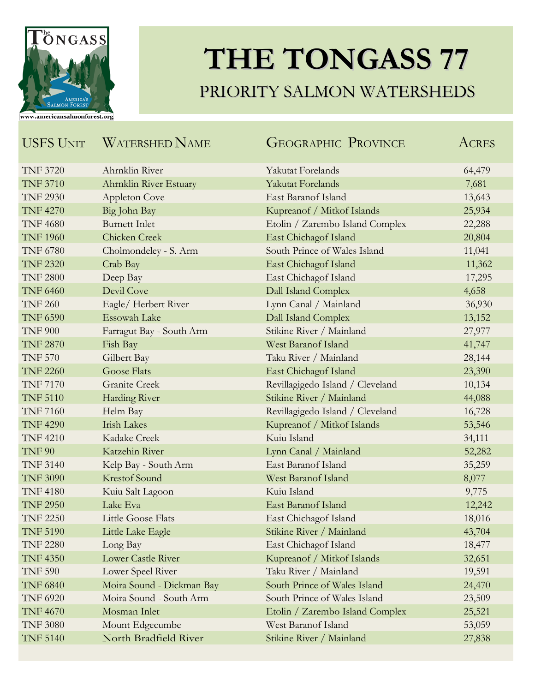

## **THE TONGASS 77** PRIORITY SALMON WATERSHEDS

| <b>USFS UNIT</b> | <b>WATERSHED NAME</b>     | <b>GEOGRAPHIC PROVINCE</b>       | ACRES  |
|------------------|---------------------------|----------------------------------|--------|
| <b>TNF 3720</b>  | Ahrnklin River            | Yakutat Forelands                | 64,479 |
| <b>TNF 3710</b>  | Ahrnklin River Estuary    | <b>Yakutat Forelands</b>         | 7,681  |
| <b>TNF 2930</b>  | <b>Appleton Cove</b>      | East Baranof Island              | 13,643 |
| <b>TNF 4270</b>  | Big John Bay              | Kupreanof / Mitkof Islands       | 25,934 |
| <b>TNF 4680</b>  | <b>Burnett Inlet</b>      | Etolin / Zarembo Island Complex  | 22,288 |
| <b>TNF 1960</b>  | Chicken Creek             | East Chichagof Island            | 20,804 |
| <b>TNF 6780</b>  | Cholmondeley - S. Arm     | South Prince of Wales Island     | 11,041 |
| <b>TNF 2320</b>  | Crab Bay                  | East Chichagof Island            | 11,362 |
| <b>TNF 2800</b>  | Deep Bay                  | East Chichagof Island            | 17,295 |
| <b>TNF 6460</b>  | Devil Cove                | Dall Island Complex              | 4,658  |
| <b>TNF 260</b>   | Eagle/Herbert River       | Lynn Canal / Mainland            | 36,930 |
| <b>TNF 6590</b>  | <b>Essowah Lake</b>       | Dall Island Complex              | 13,152 |
| <b>TNF 900</b>   | Farragut Bay - South Arm  | Stikine River / Mainland         | 27,977 |
| <b>TNF 2870</b>  | Fish Bay                  | West Baranof Island              | 41,747 |
| <b>TNF 570</b>   | Gilbert Bay               | Taku River / Mainland            | 28,144 |
| <b>TNF 2260</b>  | <b>Goose Flats</b>        | East Chichagof Island            | 23,390 |
| <b>TNF 7170</b>  | <b>Granite Creek</b>      | Revillagigedo Island / Cleveland | 10,134 |
| <b>TNF 5110</b>  | Harding River             | Stikine River / Mainland         | 44,088 |
| <b>TNF 7160</b>  | Helm Bay                  | Revillagigedo Island / Cleveland | 16,728 |
| <b>TNF 4290</b>  | <b>Irish Lakes</b>        | Kupreanof / Mitkof Islands       | 53,546 |
| <b>TNF 4210</b>  | Kadake Creek              | Kuiu Island                      | 34,111 |
| <b>TNF 90</b>    | Katzehin River            | Lynn Canal / Mainland            | 52,282 |
| <b>TNF 3140</b>  | Kelp Bay - South Arm      | East Baranof Island              | 35,259 |
| <b>TNF 3090</b>  | <b>Krestof Sound</b>      | West Baranof Island              | 8,077  |
| <b>TNF 4180</b>  | Kuiu Salt Lagoon          | Kuiu Island                      | 9,775  |
| <b>TNF 2950</b>  | Lake Eva                  | East Baranof Island              | 12,242 |
| <b>TNF 2250</b>  | <b>Little Goose Flats</b> | East Chichagof Island            | 18,016 |
| <b>TNF 5190</b>  | Little Lake Eagle         | Stikine River / Mainland         | 43,704 |
| <b>TNF 2280</b>  | Long Bay                  | East Chichagof Island            | 18,477 |
| <b>TNF 4350</b>  | <b>Lower Castle River</b> | Kupreanof / Mitkof Islands       | 32,651 |
| <b>TNF 590</b>   | Lower Speel River         | Taku River / Mainland            | 19,591 |
| <b>TNF 6840</b>  | Moira Sound - Dickman Bay | South Prince of Wales Island     | 24,470 |
| <b>TNF 6920</b>  | Moira Sound - South Arm   | South Prince of Wales Island     | 23,509 |
| <b>TNF 4670</b>  | Mosman Inlet              | Etolin / Zarembo Island Complex  | 25,521 |
| <b>TNF 3080</b>  | Mount Edgecumbe           | West Baranof Island              | 53,059 |
| <b>TNF 5140</b>  | North Bradfield River     | Stikine River / Mainland         | 27,838 |